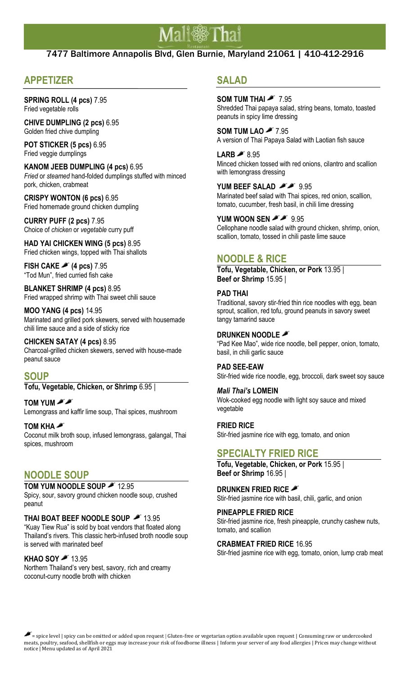# Mali@Thai

## 7477 Baltimore Annapolis Blvd, Glen Burnie, Maryland 21061 | 410-412-2916

# **APPETIZER**

**SPRING ROLL (4 pcs)** 7.95 Fried vegetable rolls

**CHIVE DUMPLING (2 pcs)** 6.95 Golden fried chive dumpling

**POT STICKER (5 pcs)** 6.95 Fried veggie dumplings

**KANOM JEEB DUMPLING (4 pcs)** 6.95 *Fried* or *steamed* hand-folded dumplings stuffed with minced pork, chicken, crabmeat

**CRISPY WONTON (6 pcs)** 6.95 Fried homemade ground chicken dumpling

**CURRY PUFF (2 pcs)** 7.95 Choice of *chicken* or *vegetable* curry puff

**HAD YAI CHICKEN WING (5 pcs)** 8.95 Fried chicken wings, topped with Thai shallots

**FISH CAKE (4 pcs)** 7.95 "Tod Mun", fried curried fish cake

**BLANKET SHRIMP (4 pcs)** 8.95 Fried wrapped shrimp with Thai sweet chili sauce

**MOO YANG (4 pcs)** 14.95 Marinated and grilled pork skewers, served with housemade chili lime sauce and a side of sticky rice

**CHICKEN SATAY (4 pcs)** 8.95 Charcoal-grilled chicken skewers, served with house-made peanut sauce

### **SOUP**

**Tofu, Vegetable, Chicken, or Shrimp** 6.95 |

**TOM YUM**  Lemongrass and kaffir lime soup, Thai spices, mushroom

**TOM KHA**  Coconut milk broth soup, infused lemongrass, galangal, Thai spices, mushroom

## **NOODLE SOUP**

TOM YUM NOODLE SOUP **3** 12.95 Spicy, sour, savory ground chicken noodle soup, crushed peanut

#### **THAI BOAT BEEF NOODLE SOUP # 13.95**

"Kuay Tiew Rua" is sold by boat vendors that floated along Thailand's rivers. This classic herb-infused broth noodle soup is served with marinated beef

#### **KHAO SOY <u>\*</u> 13.95**

Northern Thailand's very best, savory, rich and creamy coconut-curry noodle broth with chicken

# **SALAD**

**SOM TUM THAI** *F* 7.95 Shredded Thai papaya salad, string beans, tomato, toasted peanuts in spicy lime dressing

**SOM TUM LAO** 7.95 A version of Thai Papaya Salad with Laotian fish sauce

LARB <sup>2</sup>8.95 Minced chicken tossed with red onions, cilantro and scallion with lemongrass dressing

YUM BEEF SALAD **FF** 9.95 Marinated beef salad with Thai spices, red onion, scallion, tomato, cucumber, fresh basil, in chili lime dressing

**YUM WOON SEN <b>A** 9.95 Cellophane noodle salad with ground chicken, shrimp, onion, scallion, tomato, tossed in chili paste lime sauce

# **NOODLE & RICE**

**Tofu, Vegetable, Chicken, or Pork** 13.95 | **Beef or Shrimp** 15.95 |

#### **PAD THAI**

Traditional, savory stir-fried thin rice noodles with egg, bean sprout, scallion, red tofu, ground peanuts in savory sweet tangy tamarind sauce

#### **DRUNKEN NOODLE**

"Pad Kee Mao", wide rice noodle, bell pepper, onion, tomato, basil, in chili garlic sauce

#### **PAD SEE-EAW**

Stir-fried wide rice noodle, egg, broccoli, dark sweet soy sauce

#### *Mali Thai's* **LOMEIN**

Wok-cooked egg noodle with light soy sauce and mixed vegetable

#### **FRIED RICE**

Stir-fried jasmine rice with egg, tomato, and onion

## **SPECIALTY FRIED RICE**

**Tofu, Vegetable, Chicken, or Pork** 15.95 | **Beef or Shrimp** 16.95 |

**DRUNKEN FRIED RICE** Stir-fried jasmine rice with basil, chili, garlic, and onion

**PINEAPPLE FRIED RICE**

Stir-fried jasmine rice, fresh pineapple, crunchy cashew nuts, tomato, and scallion

#### **CRABMEAT FRIED RICE** 16.95

Stir-fried jasmine rice with egg, tomato, onion, lump crab meat

 $\blacktriangleright$  = spice level | spicy can be omitted or added upon request | Gluten-free or vegetarian option available upon request | Consuming raw or undercooked meats, poultry, seafood, shellfish or eggs may increase your risk of foodborne illness | Inform your server of any food allergies | Prices may change without notice | Menu updated as of April 2021